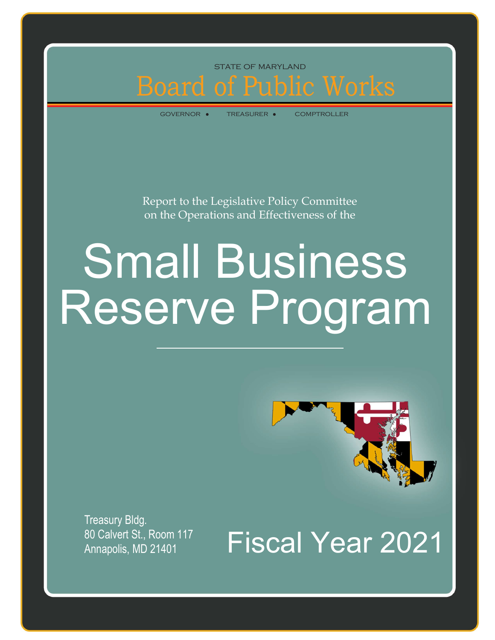### Board of Public Works state of maryland

governor treasurer comptroller

Report to the Legislative Policy Committee on the Operations and Effectiveness of the

# Small Business Reserve Program



Treasury Bldg. Annapolis, MD 21401

80 Calvert St., Room 117<br>Annapolis, MD 21401 Fiscal Year 2021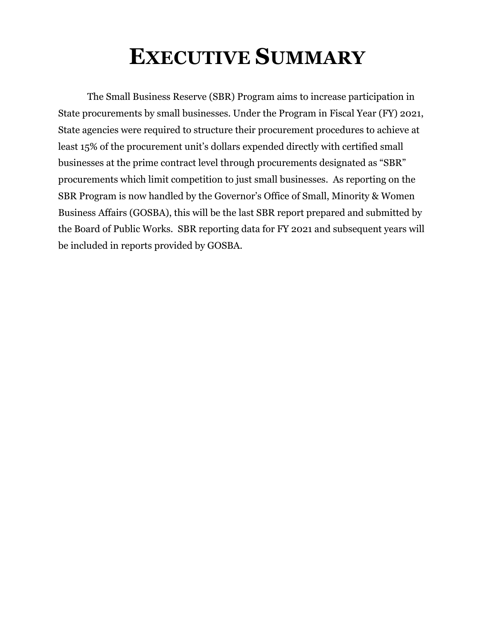## **EXECUTIVE SUMMARY**

The Small Business Reserve (SBR) Program aims to increase participation in State procurements by small businesses. Under the Program in Fiscal Year (FY) 2021, State agencies were required to structure their procurement procedures to achieve at least 15% of the procurement unit's dollars expended directly with certified small businesses at the prime contract level through procurements designated as "SBR" procurements which limit competition to just small businesses. As reporting on the SBR Program is now handled by the Governor's Office of Small, Minority & Women Business Affairs (GOSBA), this will be the last SBR report prepared and submitted by the Board of Public Works. SBR reporting data for FY 2021 and subsequent years will be included in reports provided by GOSBA.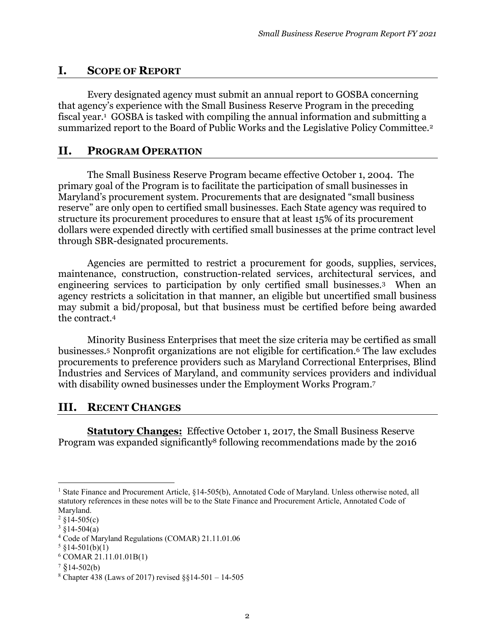#### **I. SCOPE OF REPORT**

Every designated agency must submit an annual report to GOSBA concerning that agency's experience with the Small Business Reserve Program in the preceding fiscal year.1 GOSBA is tasked with compiling the annual information and submitting a summarized report to the Board of Public Works and the Legislative Policy Committee.2

#### **II. PROGRAM OPERATION**

 The Small Business Reserve Program became effective October 1, 2004. The primary goal of the Program is to facilitate the participation of small businesses in Maryland's procurement system. Procurements that are designated "small business reserve" are only open to certified small businesses. Each State agency was required to structure its procurement procedures to ensure that at least 15% of its procurement dollars were expended directly with certified small businesses at the prime contract level through SBR-designated procurements.

Agencies are permitted to restrict a procurement for goods, supplies, services, maintenance, construction, construction-related services, architectural services, and engineering services to participation by only certified small businesses.3 When an agency restricts a solicitation in that manner, an eligible but uncertified small business may submit a bid/proposal, but that business must be certified before being awarded the contract.4

 Minority Business Enterprises that meet the size criteria may be certified as small businesses.5 Nonprofit organizations are not eligible for certification.6 The law excludes procurements to preference providers such as Maryland Correctional Enterprises, Blind Industries and Services of Maryland, and community services providers and individual with disability owned businesses under the Employment Works Program.7

#### **III. RECENT CHANGES**

**Statutory Changes:** Effective October 1, 2017, the Small Business Reserve Program was expanded significantly8 following recommendations made by the 2016

<sup>&</sup>lt;sup>1</sup> State Finance and Procurement Article, §14-505(b), Annotated Code of Maryland. Unless otherwise noted, all statutory references in these notes will be to the State Finance and Procurement Article, Annotated Code of Maryland.

 $2 \text{ } \frac{$14 - 505}{c}$ 

 $3 \text{ } \frac{$14-504(a)}{a}$ 

<sup>4</sup> Code of Maryland Regulations (COMAR) 21.11.01.06

 $5 \S 14 - 501(b)(1)$ 

<sup>6</sup> COMAR 21.11.01.01B(1)

 $7 \& 14 - 502(b)$ 

 $8$  Chapter 438 (Laws of 2017) revised  $\S$ §14-501 – 14-505